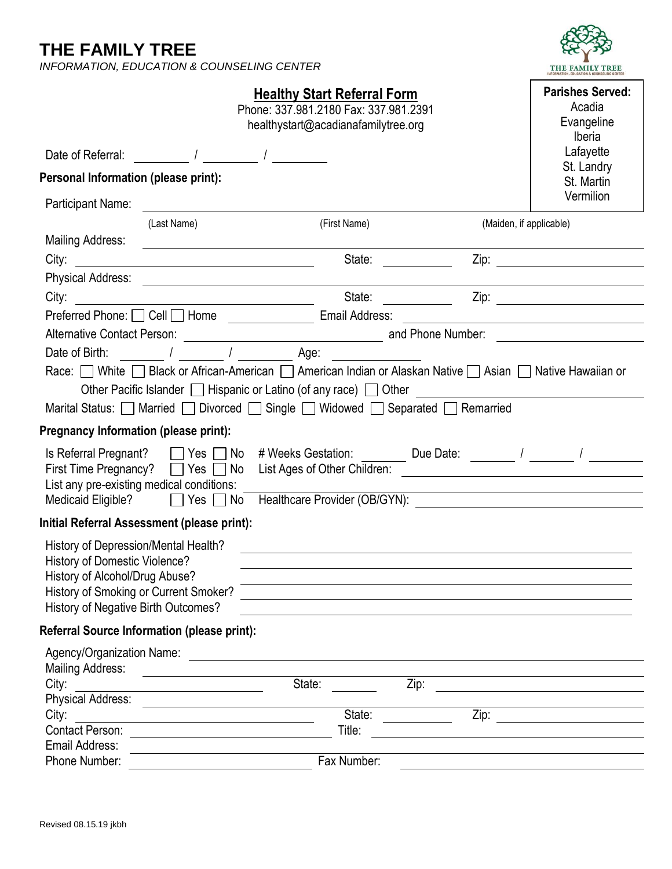**THE FAMILY TREE**

*INFORMATION, EDUCATION & COUNSELING CENTER*



| <b>Healthy Start Referral Form</b>           |                                                                                                                        |                                       |              |                                                                                                                                                                                                                                | <b>Parishes Served:</b>                                                                                              |  |
|----------------------------------------------|------------------------------------------------------------------------------------------------------------------------|---------------------------------------|--------------|--------------------------------------------------------------------------------------------------------------------------------------------------------------------------------------------------------------------------------|----------------------------------------------------------------------------------------------------------------------|--|
|                                              |                                                                                                                        | Phone: 337.981.2180 Fax: 337.981.2391 |              |                                                                                                                                                                                                                                | Acadia                                                                                                               |  |
|                                              |                                                                                                                        | healthystart@acadianafamilytree.org   |              |                                                                                                                                                                                                                                | Evangeline                                                                                                           |  |
| Date of Referral:                            |                                                                                                                        |                                       |              |                                                                                                                                                                                                                                | Iberia<br>Lafayette                                                                                                  |  |
|                                              |                                                                                                                        |                                       |              |                                                                                                                                                                                                                                | St. Landry                                                                                                           |  |
| Personal Information (please print):         |                                                                                                                        |                                       |              |                                                                                                                                                                                                                                | St. Martin                                                                                                           |  |
| Participant Name:                            | <u> 1989 - John Stein, Amerikaansk politiker (</u>                                                                     |                                       |              |                                                                                                                                                                                                                                | Vermilion                                                                                                            |  |
|                                              | (Last Name)                                                                                                            |                                       | (First Name) |                                                                                                                                                                                                                                | (Maiden, if applicable)                                                                                              |  |
| <b>Mailing Address:</b>                      | <u> 1989 - Johann Stoff, deutscher Stoffen und der Stoffen und der Stoffen und der Stoffen und der Stoffen und der</u> |                                       |              |                                                                                                                                                                                                                                |                                                                                                                      |  |
| City:                                        | <u> 1989 - Johann Barnett, fransk politik (d. 1989)</u>                                                                |                                       | State:       |                                                                                                                                                                                                                                |                                                                                                                      |  |
|                                              |                                                                                                                        |                                       |              |                                                                                                                                                                                                                                |                                                                                                                      |  |
| City:                                        | <u> 1980 - Johann Barnett, fransk politik (d. 1980)</u>                                                                |                                       | State:       |                                                                                                                                                                                                                                |                                                                                                                      |  |
|                                              | Preferred Phone: □ Cell □ Home ________________ Email Address:                                                         |                                       |              |                                                                                                                                                                                                                                | <u> 1980 - Andrea Britain, politik eta provincia eta provincia eta provincia eta provincia eta provincia eta pro</u> |  |
|                                              |                                                                                                                        |                                       |              |                                                                                                                                                                                                                                |                                                                                                                      |  |
| and the set of the Age:<br>Date of Birth: /  |                                                                                                                        |                                       |              |                                                                                                                                                                                                                                |                                                                                                                      |  |
|                                              |                                                                                                                        |                                       |              | Race: White Slack or African-American Slamerican Indian or Alaskan Native Slavian Slative Hawaiian or                                                                                                                          |                                                                                                                      |  |
|                                              |                                                                                                                        |                                       |              | Other Pacific Islander   Hispanic or Latino (of any race)   Other   Communication   Communication   Communication   Communication   Communication   Communication   Communication   Communication   Communication   Communicat |                                                                                                                      |  |
|                                              |                                                                                                                        |                                       |              | Marital Status: Married Divorced Single Widowed Separated Remarried                                                                                                                                                            |                                                                                                                      |  |
| <b>Pregnancy Information (please print):</b> |                                                                                                                        |                                       |              |                                                                                                                                                                                                                                |                                                                                                                      |  |
| Is Referral Pregnant? □ Yes □                | No                                                                                                                     |                                       |              |                                                                                                                                                                                                                                |                                                                                                                      |  |
|                                              |                                                                                                                        |                                       |              |                                                                                                                                                                                                                                |                                                                                                                      |  |
|                                              | List any pre-existing medical conditions:                                                                              |                                       |              |                                                                                                                                                                                                                                | <u> 1980 - Johann Barn, amerikan besteman besteman besteman besteman besteman besteman besteman besteman bestema</u> |  |
|                                              |                                                                                                                        |                                       |              |                                                                                                                                                                                                                                | Medicaid Eligible? 2012 Yes 2 No Healthcare Provider (OB/GYN): 2022 2022 2022 2022 2022 2022 2023                    |  |
|                                              | Initial Referral Assessment (please print):                                                                            |                                       |              |                                                                                                                                                                                                                                |                                                                                                                      |  |
| History of Depression/Mental Health?         |                                                                                                                        |                                       |              |                                                                                                                                                                                                                                |                                                                                                                      |  |
| <b>History of Domestic Violence?</b>         |                                                                                                                        |                                       |              |                                                                                                                                                                                                                                |                                                                                                                      |  |
| History of Alcohol/Drug Abuse?               |                                                                                                                        |                                       |              |                                                                                                                                                                                                                                |                                                                                                                      |  |
|                                              | History of Smoking or Current Smoker?                                                                                  |                                       |              |                                                                                                                                                                                                                                |                                                                                                                      |  |
| History of Negative Birth Outcomes?          |                                                                                                                        |                                       |              |                                                                                                                                                                                                                                |                                                                                                                      |  |
|                                              | <b>Referral Source Information (please print):</b>                                                                     |                                       |              |                                                                                                                                                                                                                                |                                                                                                                      |  |
|                                              |                                                                                                                        |                                       |              |                                                                                                                                                                                                                                |                                                                                                                      |  |
| Mailing Address:                             |                                                                                                                        |                                       |              |                                                                                                                                                                                                                                |                                                                                                                      |  |
| City:                                        | <u> 1980 - Jan Stein Stein Stein Stein Stein Stein Stein Stein Stein Stein Stein Stein Stein Stein Stein Stein S</u>   | State:                                |              | Zip:                                                                                                                                                                                                                           |                                                                                                                      |  |
| <b>Physical Address:</b>                     | <u> The Communication of the Communication of the Communication of the Communication of the Communication of</u>       |                                       | State:       |                                                                                                                                                                                                                                |                                                                                                                      |  |
| City:                                        | <u> 1989 - Andrea Albert III, martin amerikan ba</u>                                                                   |                                       | Title:       |                                                                                                                                                                                                                                | $\overline{Zip: }$                                                                                                   |  |
| Email Address:                               |                                                                                                                        |                                       |              |                                                                                                                                                                                                                                |                                                                                                                      |  |
| Phone Number:                                |                                                                                                                        |                                       | Fax Number:  |                                                                                                                                                                                                                                |                                                                                                                      |  |